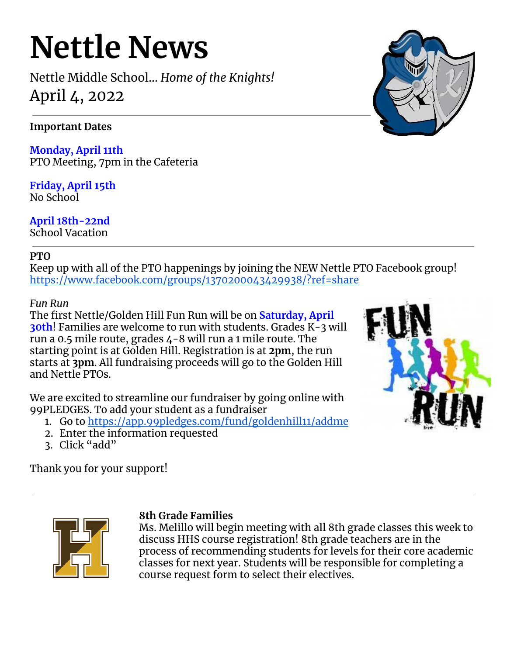# **Nettle News**

Nettle Middle School… *Home of the Knights!* April 4, 2022

## **Important Dates**

**Monday, April 11th** PTO Meeting, 7pm in the Cafeteria

**Friday, April 15th** No School

**April 18th-22nd** School Vacation

#### **PTO**

Keep up with all of the PTO happenings by joining the NEW Nettle PTO Facebook group! <https://www.facebook.com/groups/1370200043429938/?ref=share>

## *Fun Run*

The first Nettle/Golden Hill Fun Run will be on **Saturday, April 30th**! Families are welcome to run with students. Grades K-3 will run a 0.5 mile route, grades 4-8 will run a 1 mile route. The starting point is at Golden Hill. Registration is at **2pm**, the run starts at **3pm**. All fundraising proceeds will go to the Golden Hill and Nettle PTOs.

We are excited to streamline our fundraiser by going online with 99PLEDGES. To add your student as a fundraiser

- 1. Go to <https://app.99pledges.com/fund/goldenhill11/addme>
- 2. Enter the information requested
- 3. Click "add"

Thank you for your support!





## **8th Grade Families**

Ms. Melillo will begin meeting with all 8th grade classes this week to discuss HHS course registration! 8th grade teachers are in the process of recommending students for levels for their core academic classes for next year. Students will be responsible for completing a course request form to select their electives.